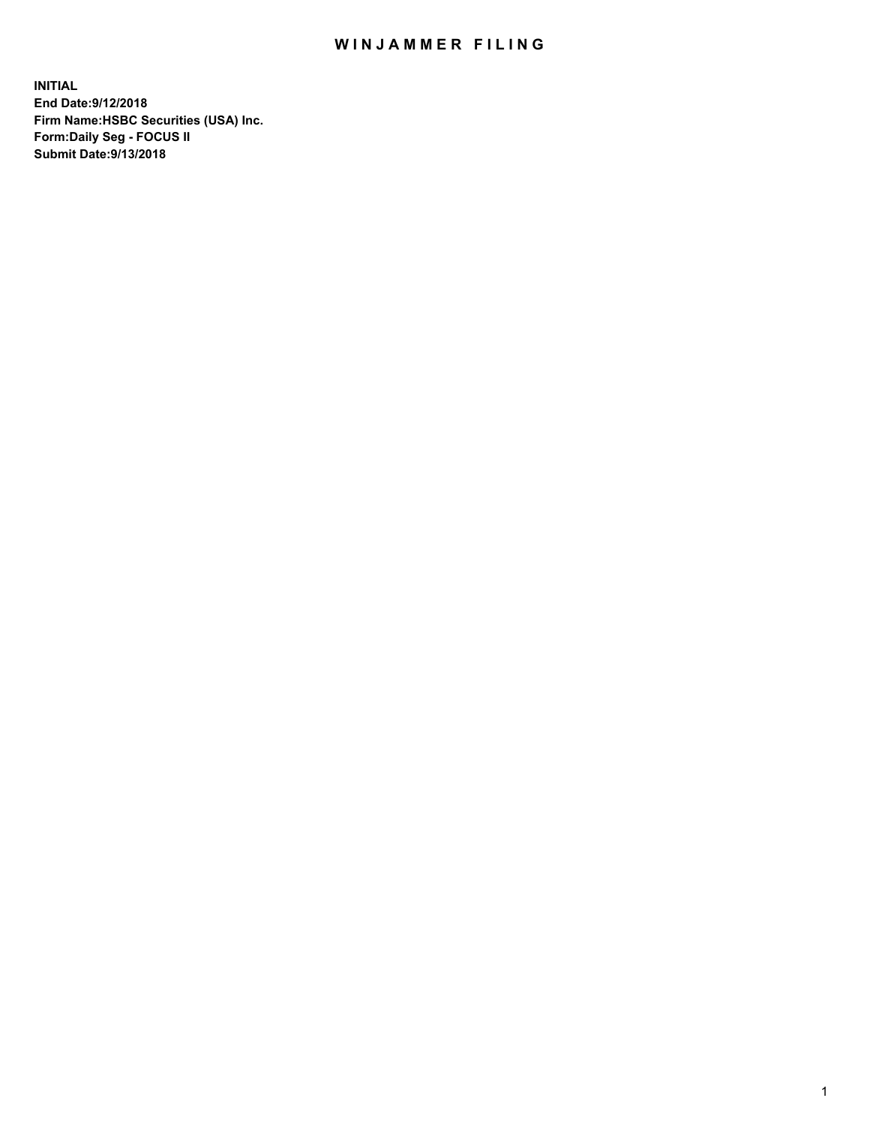## WIN JAMMER FILING

**INITIAL End Date:9/12/2018 Firm Name:HSBC Securities (USA) Inc. Form:Daily Seg - FOCUS II Submit Date:9/13/2018**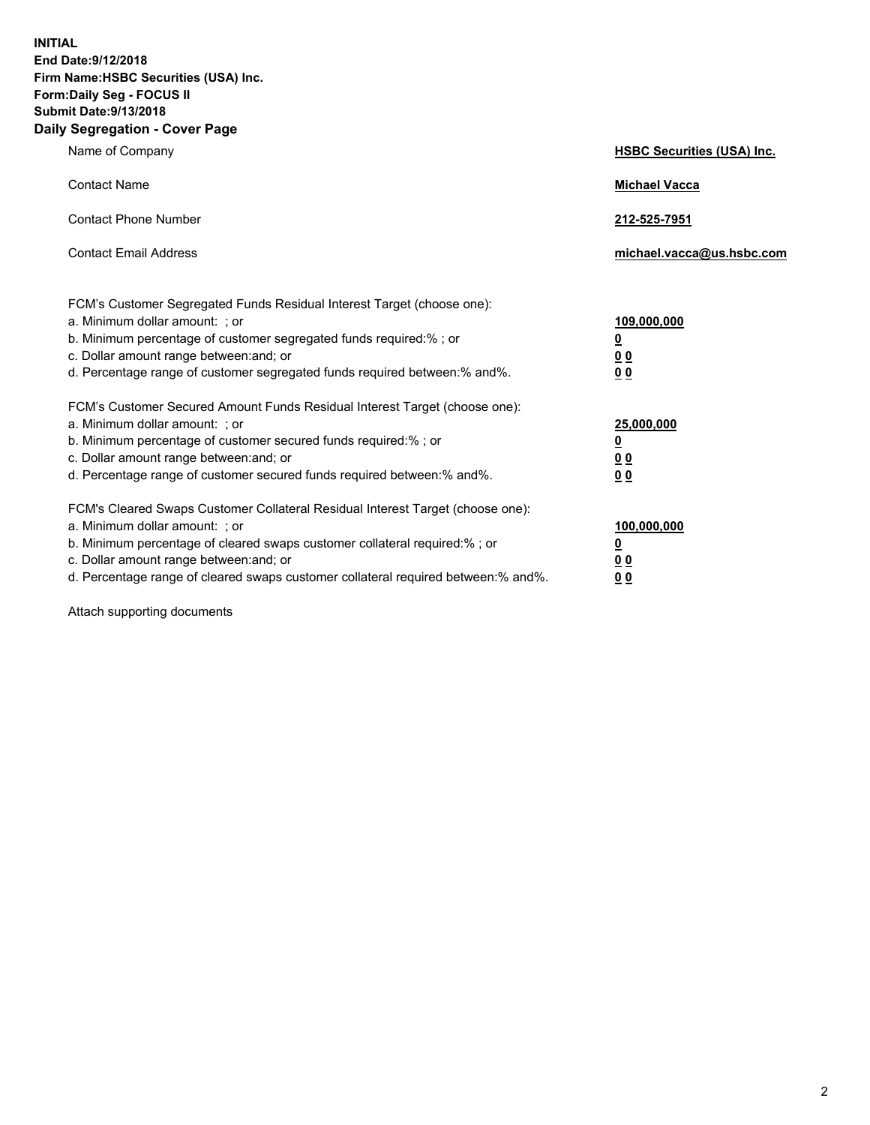**INITIAL End Date:9/12/2018 Firm Name:HSBC Securities (USA) Inc. Form:Daily Seg - FOCUS II Submit Date:9/13/2018 Daily Segregation - Cover Page**

| Name of Company                                                                                                                                                                                                                                                                                                                | <b>HSBC Securities (USA) Inc.</b>                                          |
|--------------------------------------------------------------------------------------------------------------------------------------------------------------------------------------------------------------------------------------------------------------------------------------------------------------------------------|----------------------------------------------------------------------------|
| <b>Contact Name</b>                                                                                                                                                                                                                                                                                                            | <b>Michael Vacca</b>                                                       |
| <b>Contact Phone Number</b>                                                                                                                                                                                                                                                                                                    | 212-525-7951                                                               |
| <b>Contact Email Address</b>                                                                                                                                                                                                                                                                                                   | michael.vacca@us.hsbc.com                                                  |
| FCM's Customer Segregated Funds Residual Interest Target (choose one):<br>a. Minimum dollar amount: : or<br>b. Minimum percentage of customer segregated funds required:% ; or<br>c. Dollar amount range between: and; or<br>d. Percentage range of customer segregated funds required between:% and%.                         | 109,000,000<br>$\overline{\mathbf{0}}$<br>0 <sub>0</sub><br>0 <sub>0</sub> |
| FCM's Customer Secured Amount Funds Residual Interest Target (choose one):<br>a. Minimum dollar amount: ; or<br>b. Minimum percentage of customer secured funds required:%; or<br>c. Dollar amount range between: and; or<br>d. Percentage range of customer secured funds required between:% and%.                            | 25,000,000<br>$\overline{\mathbf{0}}$<br>0 <sub>0</sub><br>0 <sub>0</sub>  |
| FCM's Cleared Swaps Customer Collateral Residual Interest Target (choose one):<br>a. Minimum dollar amount: ; or<br>b. Minimum percentage of cleared swaps customer collateral required:% ; or<br>c. Dollar amount range between: and; or<br>d. Percentage range of cleared swaps customer collateral required between:% and%. | 100,000,000<br>$\overline{\mathbf{0}}$<br>0 <sub>0</sub><br>0 <sub>0</sub> |

Attach supporting documents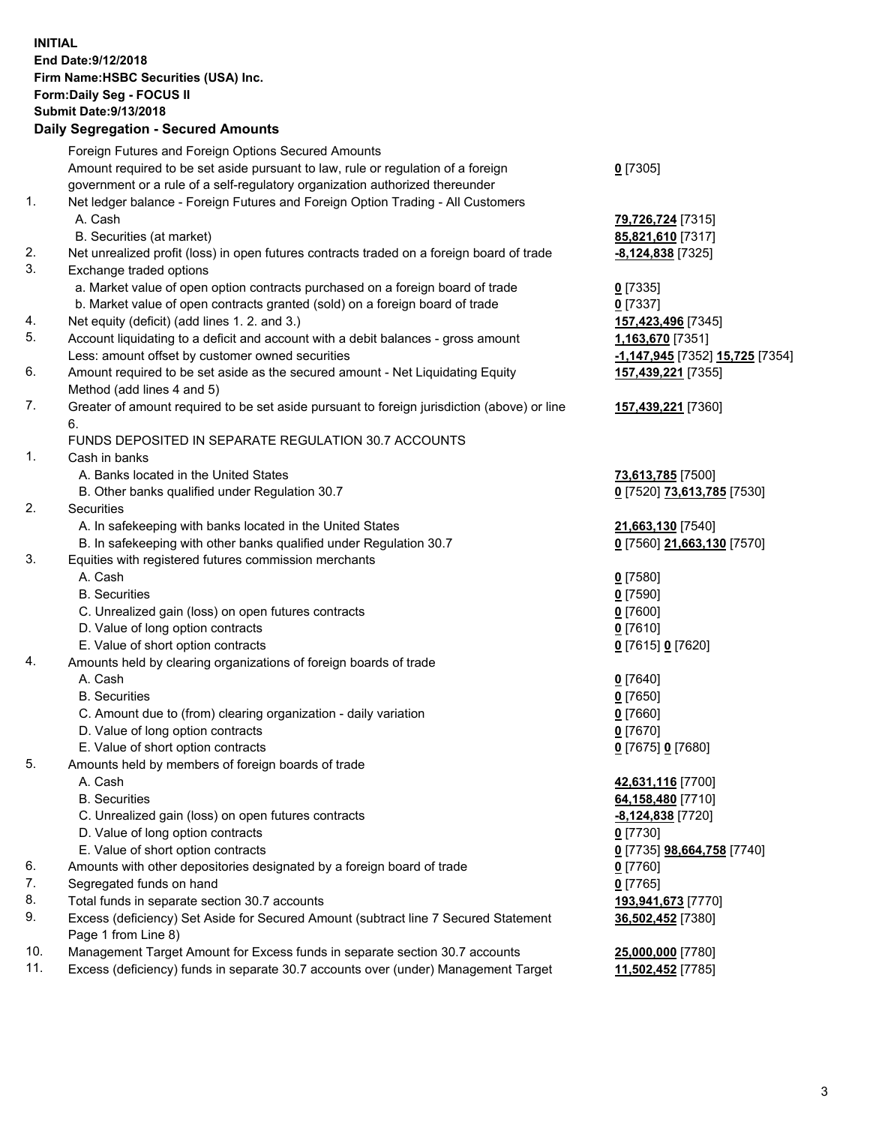**INITIAL End Date:9/12/2018 Firm Name:HSBC Securities (USA) Inc. Form:Daily Seg - FOCUS II Submit Date:9/13/2018 Daily Segregation - Secured Amounts**

|     | Foreign Futures and Foreign Options Secured Amounts                                         |                                                     |
|-----|---------------------------------------------------------------------------------------------|-----------------------------------------------------|
|     | Amount required to be set aside pursuant to law, rule or regulation of a foreign            | $0$ [7305]                                          |
|     | government or a rule of a self-regulatory organization authorized thereunder                |                                                     |
| 1.  | Net ledger balance - Foreign Futures and Foreign Option Trading - All Customers             |                                                     |
|     | A. Cash                                                                                     | 79,726,724 [7315]                                   |
|     | B. Securities (at market)                                                                   | 85,821,610 [7317]                                   |
| 2.  | Net unrealized profit (loss) in open futures contracts traded on a foreign board of trade   | $-8,124,838$ [7325]                                 |
| 3.  | Exchange traded options                                                                     |                                                     |
|     | a. Market value of open option contracts purchased on a foreign board of trade              | $0$ [7335]                                          |
|     | b. Market value of open contracts granted (sold) on a foreign board of trade                | $0$ [7337]                                          |
| 4.  | Net equity (deficit) (add lines 1.2. and 3.)                                                | 157,423,496 [7345]                                  |
| 5.  | Account liquidating to a deficit and account with a debit balances - gross amount           | 1,163,670 [7351]                                    |
|     | Less: amount offset by customer owned securities                                            | <mark>-1,147,945</mark> [7352] <b>15,725</b> [7354] |
| 6.  | Amount required to be set aside as the secured amount - Net Liquidating Equity              | 157,439,221 [7355]                                  |
|     | Method (add lines 4 and 5)                                                                  |                                                     |
| 7.  | Greater of amount required to be set aside pursuant to foreign jurisdiction (above) or line | 157,439,221 [7360]                                  |
|     | 6.                                                                                          |                                                     |
|     | FUNDS DEPOSITED IN SEPARATE REGULATION 30.7 ACCOUNTS                                        |                                                     |
| 1.  | Cash in banks                                                                               |                                                     |
|     | A. Banks located in the United States                                                       | 73,613,785 [7500]                                   |
|     | B. Other banks qualified under Regulation 30.7                                              | 0 [7520] 73,613,785 [7530]                          |
| 2.  | Securities                                                                                  |                                                     |
|     | A. In safekeeping with banks located in the United States                                   | 21,663,130 [7540]                                   |
|     | B. In safekeeping with other banks qualified under Regulation 30.7                          | 0 [7560] 21,663,130 [7570]                          |
| 3.  | Equities with registered futures commission merchants                                       |                                                     |
|     | A. Cash                                                                                     | $0$ [7580]                                          |
|     | <b>B.</b> Securities                                                                        | $0$ [7590]                                          |
|     | C. Unrealized gain (loss) on open futures contracts                                         | $0$ [7600]                                          |
|     | D. Value of long option contracts                                                           | $0$ [7610]                                          |
|     | E. Value of short option contracts                                                          | 0 [7615] 0 [7620]                                   |
| 4.  | Amounts held by clearing organizations of foreign boards of trade                           |                                                     |
|     | A. Cash                                                                                     | $0$ [7640]                                          |
|     | <b>B.</b> Securities                                                                        | $0$ [7650]                                          |
|     | C. Amount due to (from) clearing organization - daily variation                             | $0$ [7660]                                          |
|     | D. Value of long option contracts                                                           | $0$ [7670]                                          |
|     | E. Value of short option contracts                                                          | 0 [7675] 0 [7680]                                   |
| 5.  | Amounts held by members of foreign boards of trade                                          |                                                     |
|     | A. Cash                                                                                     | 42,631,116 [7700]                                   |
|     | <b>B.</b> Securities                                                                        | 64,158,480 [7710]                                   |
|     |                                                                                             |                                                     |
|     | C. Unrealized gain (loss) on open futures contracts                                         | <u>-8,124,838</u> [7720]                            |
|     | D. Value of long option contracts                                                           | $0$ [7730]                                          |
| 6.  | E. Value of short option contracts                                                          | 0 [7735] 98,664,758 [7740]                          |
|     | Amounts with other depositories designated by a foreign board of trade                      | $0$ [7760]                                          |
| 7.  | Segregated funds on hand                                                                    | $0$ [7765]                                          |
| 8.  | Total funds in separate section 30.7 accounts                                               | 193,941,673 [7770]                                  |
| 9.  | Excess (deficiency) Set Aside for Secured Amount (subtract line 7 Secured Statement         | 36,502,452 [7380]                                   |
|     | Page 1 from Line 8)                                                                         |                                                     |
| 10. | Management Target Amount for Excess funds in separate section 30.7 accounts                 | 25,000,000 [7780]                                   |
| 11. | Excess (deficiency) funds in separate 30.7 accounts over (under) Management Target          | 11,502,452 [7785]                                   |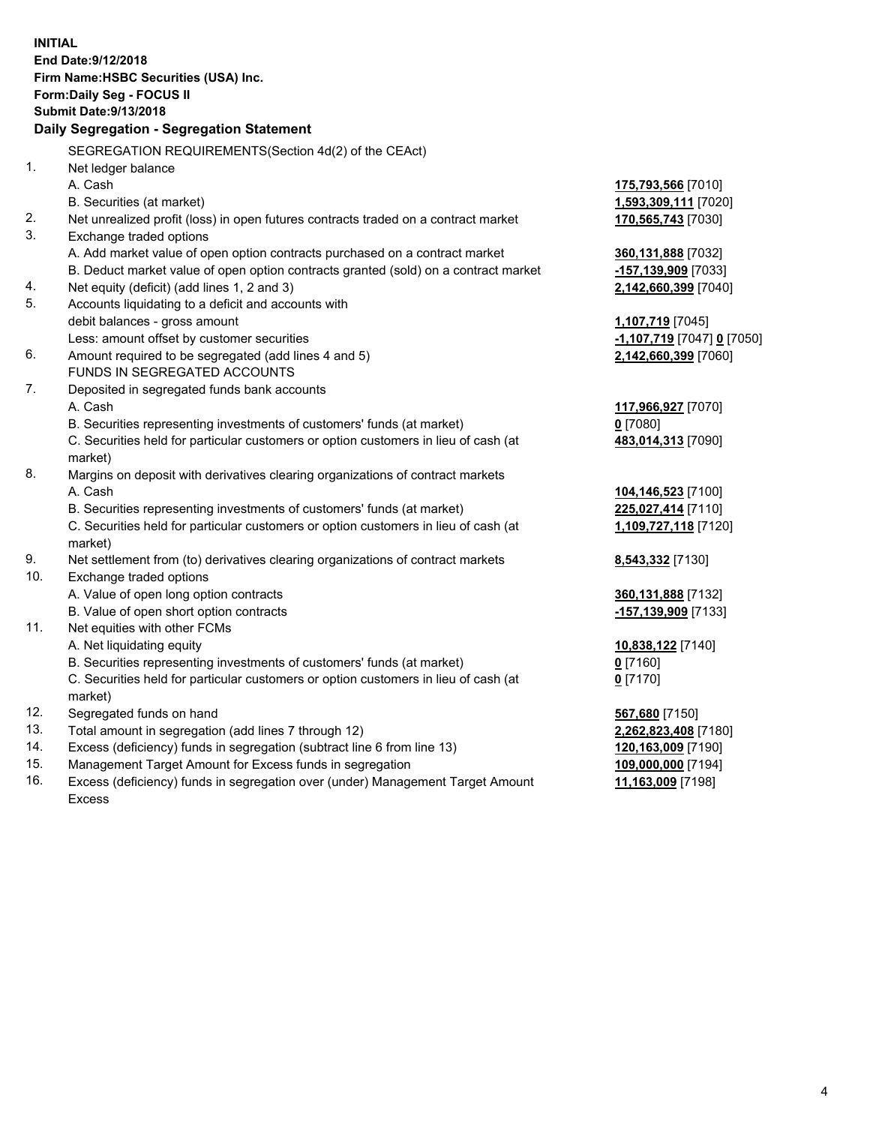**INITIAL End Date:9/12/2018 Firm Name:HSBC Securities (USA) Inc. Form:Daily Seg - FOCUS II Submit Date:9/13/2018 Daily Segregation - Segregation Statement** SEGREGATION REQUIREMENTS(Section 4d(2) of the CEAct) 1. Net ledger balance A. Cash **175,793,566** [7010] B. Securities (at market) **1,593,309,111** [7020] 2. Net unrealized profit (loss) in open futures contracts traded on a contract market **170,565,743** [7030] 3. Exchange traded options A. Add market value of open option contracts purchased on a contract market **360,131,888** [7032] B. Deduct market value of open option contracts granted (sold) on a contract market **-157,139,909** [7033] 4. Net equity (deficit) (add lines 1, 2 and 3) **2,142,660,399** [7040] 5. Accounts liquidating to a deficit and accounts with debit balances - gross amount **1,107,719** [7045] Less: amount offset by customer securities **-1,107,719** [7047] **0** [7050] 6. Amount required to be segregated (add lines 4 and 5) **2,142,660,399** [7060] FUNDS IN SEGREGATED ACCOUNTS 7. Deposited in segregated funds bank accounts A. Cash **117,966,927** [7070] B. Securities representing investments of customers' funds (at market) **0** [7080] C. Securities held for particular customers or option customers in lieu of cash (at market) **483,014,313** [7090] 8. Margins on deposit with derivatives clearing organizations of contract markets A. Cash **104,146,523** [7100] B. Securities representing investments of customers' funds (at market) **225,027,414** [7110] C. Securities held for particular customers or option customers in lieu of cash (at market) **1,109,727,118** [7120] 9. Net settlement from (to) derivatives clearing organizations of contract markets **8,543,332** [7130] 10. Exchange traded options A. Value of open long option contracts **360,131,888** [7132] B. Value of open short option contracts **-157,139,909** [7133] 11. Net equities with other FCMs A. Net liquidating equity **10,838,122** [7140] B. Securities representing investments of customers' funds (at market) **0** [7160] C. Securities held for particular customers or option customers in lieu of cash (at market) **0** [7170] 12. Segregated funds on hand **567,680** [7150] 13. Total amount in segregation (add lines 7 through 12) **2,262,823,408** [7180] 14. Excess (deficiency) funds in segregation (subtract line 6 from line 13) **120,163,009** [7190] 15. Management Target Amount for Excess funds in segregation **109,000,000** [7194]

16. Excess (deficiency) funds in segregation over (under) Management Target Amount Excess

**11,163,009** [7198]